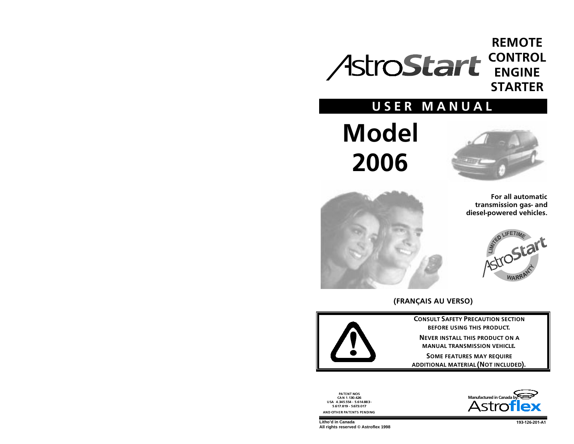## **REMOTE** CONTROL<br>ENGINE **STARTER**

## USER MANUAL

# **Model** 2006





For all automatic transmission gas- and diesel-powered vehicles.



## (FRANÇAIS AU VERSO)



**CONSULT SAFETY PRECALITION SECTION BEFORE USING THIS PRODUCT.** 

**NEVER INSTALL THIS PRODUCT ON A** MANUAL TRANSMISSION VEHICLE.

SOME FEATURES MAY REQUIRE ADDITIONAL MATERIAL (NOT INCLUDED).

PATENT NOS<br>CAN 1.130.426 USA 4.345.554 - 5.614.883 -5 617 819 5 673 017 AND OTHER PATENTS PENDING

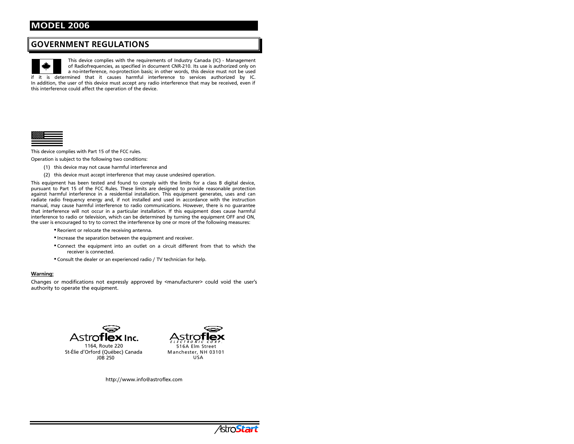## **GOVERNMENT REGULATIONS**

This device complies with the requirements of Industry Canada (IC) - Management of Radiofrequencies, as specified in document CNR-210. Its use is authorized only on a no-interference, no-protection basis; in other words, this device must not be used if it is determined that it causes harmful interference to services authorized by IC. In addition, the user of this device must accept any radio interference that may be received, even if this interference could affect the operation of the device.



This device complies with Part 15 of the FCC rules.

Operation is subject to the following two conditions:

- (1) this device may not cause harmful interference and
- (2) this device must accept interference that may cause undesired operation.

This equipment has been tested and found to comply with the limits for a class B digital device, pursuant to Part 15 of the FCC Rules. These limits are designed to provide reasonable protection against harmful interference in a residential installation. This equipment generates, uses and can radiate radio frequency energy and, if not installed and used in accordance with the instruction manual, may cause harmful interference to radio communications. However, there is no quarantee that interference will not occur in a particular installation. If this equipment does cause harmful interference to radio or television, which can be determined by turning the equipment OFF and ON, the user is encouraged to try to correct the interference by one or more of the following measures:

- " Reorient or relocate the receiving antenna.
- " Increase the separation between the equipment and receiver.
- "Connect the equipment into an outlet on a circuit different from that to which the receiver is connected.
- " Consult the dealer or an experienced radio / TV technician for help.

#### **Warning:**

Changes or modifications not expressly approved by <manufacturer> could void the user's authority to operate the equipment.



1164, Route 220 St-Élie d'Orford (Québec) Canada **JOB 250** 



http://www.info@astroflex.com

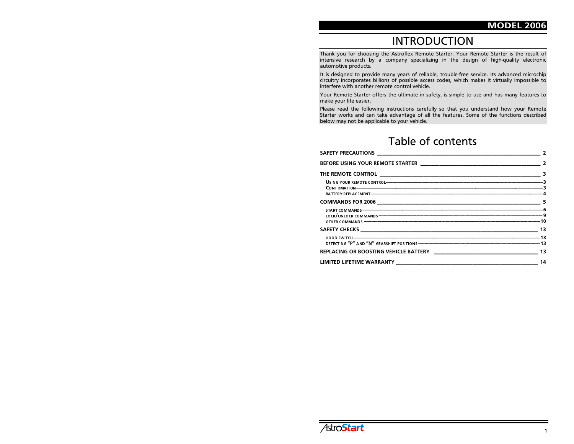## **INTRODUCTION**

Thank you for choosing the Astroflex Remote Starter. Your Remote Starter is the result of intensive research by a company specializing in the design of high-quality electronic automotive products.

It is designed to provide many years of reliable, trouble-free service. Its advanced microchip circuitry incorporates billions of possible access codes, which makes it virtually impossible to interfere with another remote control vehicle.

Your Remote Starter offers the ultimate in safety, is simple to use and has many features to make your life easier.

Please read the following instructions carefully so that you understand how your Remote Starter works and can take advantage of all the features. Some of the functions described below may not be applicable to your vehicle.

## Table of contents

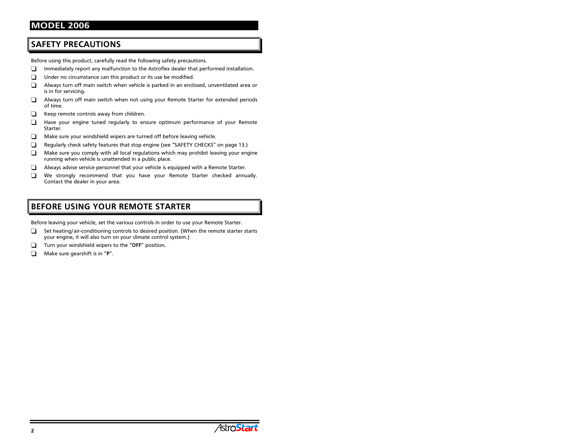## **SAFETY PRECAUTIONS**

Before using this product, carefully read the following safety precautions.

- Immediately report any malfunction to the Astroflex dealer that performed installation. □
- Under no circumstance can this product or its use be modified. ⊓
- Always turn off main switch when vehicle is parked in an enclosed, unventilated area or ∩ is in for servicing.
- $\Box$ Always turn off main switch when not using your Remote Starter for extended periods of time.
- Keep remote controls away from children. □
- Have your engine tuned regularly to ensure optimum performance of your Remote ∩ Starter.
- Make sure your windshield wipers are turned off before leaving vehicle. □
- Regularly check safety features that stop engine (see "SAFETY CHECKS" on page 13.) ⊓
- $\Box$ Make sure you comply with all local regulations which may prohibit leaving your engine running when vehicle is unattended in a public place.
- $\Box$ Always advise service personnel that your vehicle is equipped with a Remote Starter.
- $\Box$ We strongly recommend that you have your Remote Starter checked annually. Contact the dealer in your area.

## **BEFORE USING YOUR REMOTE STARTER**

Before leaving your vehicle, set the various controls in order to use your Remote Starter.

- Set heating/air-conditioning controls to desired position. (When the remote starter starts ❏ your engine, it will also turn on your climate control system.)
- Turn your windshield wipers to the "OFF" position.
- Make sure gearshift is in "P". □

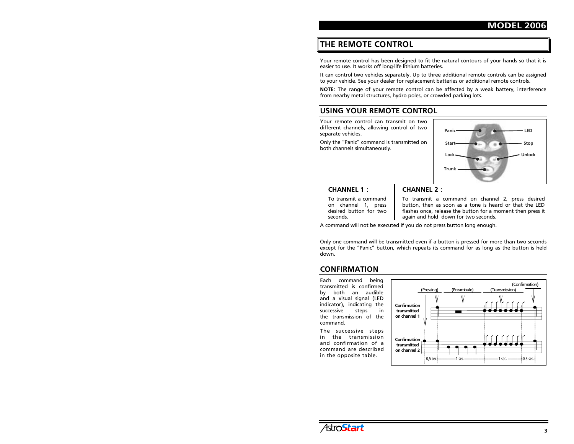## THE REMOTE CONTROL

Your remote control has been designed to fit the natural contours of your hands so that it is easier to use. It works off long-life lithium batteries.

It can control two vehicles separately. Up to three additional remote controls can be assigned to your vehicle. See your dealer for replacement batteries or additional remote controls.

NOTE: The range of your remote control can be affected by a weak battery, interference from nearby metal structures, hydro poles, or crowded parking lots.

## USING YOUR REMOTE CONTROL

Your remote control can transmit on two different channels, allowing control of two separate vehicles.

Only the "Panic" command is transmitted on both channels simultaneously.



#### $CHANNFI 1.$

To transmit a command on channel 1, press  $desired$  button for two seconds.

## $CHANNFI$  2  $\cdot$

To transmit a command on channel 2, press desired button, then as soon as a tone is heard or that the LED flashes once, release the button for a moment then press it again and hold down for two seconds.

A command will not be executed if you do not press button long enough.

Only one command will be transmitted even if a button is pressed for more than two seconds except for the "Panic" button, which repeats its command for as long as the button is held down.

#### **CONFIRMATION**

Each command being transmitted is confirmed by both an audible and a visual signal (LED indicator), indicating the successive steps in the transmission of the command.

The successive steps in the transmission and confirmation of a command are described in the opposite table.



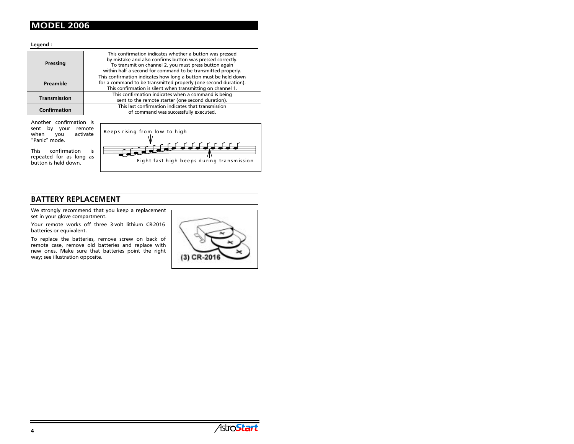Legend:

| Pressing            | This confirmation indicates whether a button was pressed<br>by mistake and also confirms button was pressed correctly.<br>To transmit on channel 2, you must press button again<br>within half a second for command to be transmitted properly. |  |
|---------------------|-------------------------------------------------------------------------------------------------------------------------------------------------------------------------------------------------------------------------------------------------|--|
| Preamble            | This confirmation indicates how long a button must be held down<br>for a command to be transmitted properly (one second duration).<br>This confirmation is silent when transmitting on channel 1.                                               |  |
| <b>Transmission</b> | This confirmation indicates when a command is being<br>sent to the remote starter (one second duration).                                                                                                                                        |  |
| <b>Confirmation</b> | This last confirmation indicates that transmission<br>of command was successfully executed.                                                                                                                                                     |  |

Another confirmation is sent by your remote when you activate "Panic" mode.

This confirmation is repeated for as long as button is held down.



## BATTERY REPLACEMENT

We strongly recommend that you keep a replacement set in your glove compartment.

Your remote works off three 3-volt lithium CR-2016 batteries or equivalent.

To replace the batteries, remove screw on back of remote case, remove old batteries and replace with new ones. Make sure that batteries point the right way; see illustration opposite.



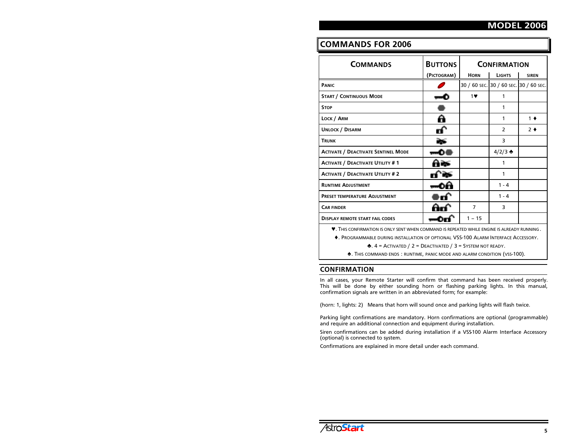## **COMMANDS FOR 2006**

| <b>COMMANDS</b>                            | <b>BUTTONS</b> | <b>CONFIRMATION</b> |                                        |               |
|--------------------------------------------|----------------|---------------------|----------------------------------------|---------------|
|                                            | (PICTOGRAM)    | <b>HORN</b>         | <b>LIGHTS</b>                          | <b>SIREN</b>  |
| <b>PANIC</b>                               |                |                     | 30 / 60 SEC. 30 / 60 SEC. 30 / 60 SEC. |               |
| <b>START / CONTINUOUS MODE</b>             |                | 1                   | 1                                      |               |
| <b>STOP</b>                                |                |                     | 1                                      |               |
| LOCK / ARM                                 | А              |                     | 1                                      | $1 \bullet$   |
| <b>UNLOCK / DISARM</b>                     |                |                     | $\overline{2}$                         | $2^{\bullet}$ |
| <b>TRUNK</b>                               |                |                     | 3                                      |               |
| <b>ACTIVATE / DEACTIVATE SENTINEL MODE</b> | ⊸≏             |                     | $4/2/3$ $\triangle$                    |               |
| <b>ACTIVATE / DEACTIVATE UTILITY #1</b>    | А¥             |                     | 1                                      |               |
| <b>ACTIVATE / DEACTIVATE UTILITY #2</b>    |                |                     | 1                                      |               |
| <b>RUNTIME ADJUSTMENT</b>                  |                |                     | $1 - 4$                                |               |
| <b>PRESET TEMPERATURE ADJUSTMENT</b>       |                |                     | $1 - 4$                                |               |
| <b>CAR FINDER</b>                          |                | $\overline{7}$      | 3                                      |               |
| <b>DISPLAY REMOTE START FAIL CODES</b>     |                | $1 - 15$            |                                        |               |

**V.** This confirmation is only sent when command is repeated while engine is already running.

•. PROGRAMMABLE DURING INSTALLATION OF OPTIONAL VSS-100 ALARM INTERFACE ACCESSORY.

**A.**  $4 =$  ACTIVATED / 2 = DEACTIVATED / 3 = SYSTEM NOT READY.

**A.** This command ends: RUNTIME, PANIC MODE AND ALARM CONDITION (VSS-100).

#### **CONFIRMATION**

In all cases, your Remote Starter will confirm that command has been received properly. This will be done by either sounding horn or flashing parking lights. In this manual, confirmation signals are written in an abbreviated form; for example:

(horn: 1, lights: 2) Means that horn will sound once and parking lights will flash twice.

Parking light confirmations are mandatory. Horn confirmations are optional (programmable) and require an additional connection and equipment during installation.

Siren confirmations can be added during installation if a VSS100 Alarm Interface Accessory (optional) is connected to system.

Confirmations are explained in more detail under each command.

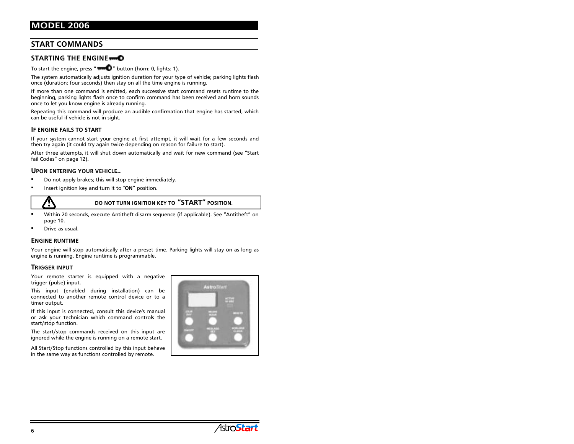#### **START COMMANDS**

#### STARTING THE ENGINE+

To start the engine, press " $\blacksquare\blacksquare\blacksquare$ " button (horn: 0, lights: 1).

The system automatically adjusts ignition duration for your type of vehicle; parking lights flash once (duration: four seconds) then stay on all the time engine is running.

If more than one command is emitted, each successive start command resets runtime to the beginning, parking lights flash once to confirm command has been received and horn sounds once to let you know engine is already running.

Repeating this command will produce an audible confirmation that engine has started, which can be useful if vehicle is not in sight.

#### IF ENGINE FAILS TO START

If your system cannot start your engine at first attempt, it will wait for a few seconds and then try again (it could try again twice depending on reason for failure to start).

After three attempts, it will shut down automatically and wait for new command (see "Start fail Codes" on page 12).

#### UPON ENTERING YOUR VEHICLE...

- г Do not apply brakes; this will stop engine immediately.
- Insert ignition key and turn it to "ON" position.



do not turn ignition key to "START" position.

- г Within 20 seconds, execute Antitheft disarm sequence (if applicable). See "Antitheft" on page 10.
- г **•** Drive as usual.

#### **ENGINE RUNTIME**

Your engine will stop automatically after a preset time. Parking lights will stay on as long as engine is running. Engine runtime is programmable.

#### TRIGGER INPUT

Your remote starter is equipped with a negative trigger (pulse) input.

This input (enabled during installation) can be connected to another remote control device or to a timer output.

If this input is connected, consult this device's manual or ask your technician which command controls the start/stop function.

The start/stop commands received on this input are ignored while the engine is running on a remote start.

All Start/Stop functions controlled by this input behave in the same way as functions controlled by remote.



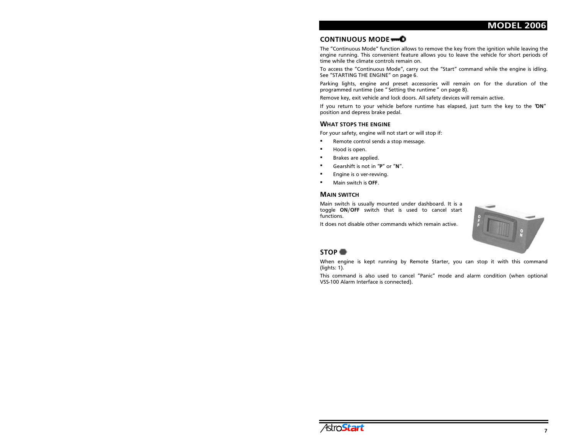#### CONTINUOUS MODE

The "Continuous Mode" function allows to remove the key from the ignition while leaving the engine running. This convenient feature allows you to leave the vehicle for short periods of time while the climate controls remain on.

To access the "Continuous Mode", carry out the "Start" command while the engine is idling. See "STARTING THE ENGINE" on page 6.

Parking lights, engine and preset accessories will remain on for the duration of the programmed runtime (see "Setting the runtime" on page 8).

Remove key, exit vehicle and lock doors. All safety devices will remain active.

If you return to your vehicle before runtime has elapsed, just turn the key to the 'ON" position and depress brake pedal.

#### **WHAT STOPS THE ENGINE**

For your safety, engine will not start or will stop if:

- $\blacksquare$ Remote control sends a stop message.
- Hood is open.
- Brakes are applied.
- Gearshift is not in "P" or "N".
- Engine is o ver-revving.
- Main switch is OFF.

#### **MAIN SWITCH**

Main switch is usually mounted under dashboard. It is a toggle ON/OFF switch that is used to cancel start functions.

It does not disable other commands which remain active.



#### STOP<sup>®</sup>

When engine is kept running by Remote Starter, you can stop it with this command (lights: 1).

This command is also used to cancel "Panic" mode and alarm condition (when optional VSS-100 Alarm Interface is connected).

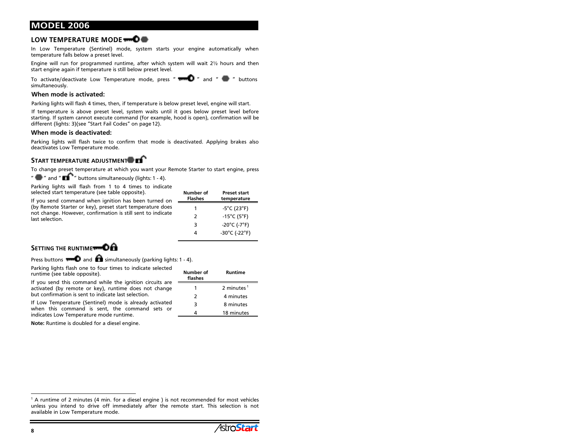#### LOW TEMPERATURE MODE TO THE

In Low Temperature (Sentinel) mode, system starts your engine automatically when temperature falls below a preset level.

Engine will run for programmed runtime, after which system will wait  $2\frac{1}{2}$  hours and then start engine again if temperature is still below preset level.

To activate/deactivate Low Temperature mode, press " $\blacksquare$  " and "  $\blacksquare$  " buttons simultaneously.

#### When mode is activated:

Parking lights will flash 4 times, then, if temperature is below preset level, engine will start.

If temperature is above preset level, system waits until it goes below preset level before starting. If system cannot execute command (for example, hood is open), confirmation will be different (lights: 3)(see "Start Fail Codes" on page 12).

#### When mode is deactivated:

Parking lights will flash twice to confirm that mode is deactivated. Applying brakes also deactivates Low Temperature mode.

#### START TEMPERATURE ADJUSTMENT THE

To change preset temperature at which you want your Remote Starter to start engine, press

 $^{\prime\prime}$   $\blacksquare$   $^{\prime\prime}$  and  $^{\prime\prime}$   $\blacksquare$   $^{-\prime\prime}$  buttons simultaneously (lights: 1 - 4).

Parking lights will flash from 1 to 4 times to indicate selected start temperature (see table opposite).

If you send command when ignition has been turned on (by Remote Starter or key), preset start temperature does not change. However, confirmation is still sent to indicate last selection.

| Number of<br><b>Flashes</b> | <b>Preset start</b><br>temperature |
|-----------------------------|------------------------------------|
| 1                           | $-5^{\circ}$ C (23 $^{\circ}$ F)   |
| $\mathcal{P}$               | $-15^{\circ}$ C (5 $^{\circ}$ F)   |
| 3                           | -20°C (-7°F)                       |
| Δ                           | -30°C (-22°F)                      |

#### SETTING THE RUNTIME

Press buttons  $\blacksquare\blacksquare$  and  $\blacksquare\hspace{-0.1cm}\blacksquare$  simultaneously (parking lights: 1 - 4).

Parking lights flash one to four times to indicate selected runtime (see table opposite).

If you send this command while the ignition circuits are activated (by remote or key), runtime does not change but confirmation is sent to indicate last selection.

If Low Temperature (Sentinel) mode is already activated when this command is sent, the command sets or indicates Low Temperature mode runtime.

Note: Runtime is doubled for a diesel engine.

| Number of<br>flashes | Runtime                |
|----------------------|------------------------|
|                      | 2 minutes <sup>1</sup> |
| 2                    | 4 minutes              |
| 3                    | 8 minutes              |
|                      | 18 minutes             |

 $^1$  A runtime of 2 minutes (4 min. for a diesel engine ) is not recommended for most vehicles unless you intend to drive off immediately after the remote start. This selection is not available in Low Temperature mode.

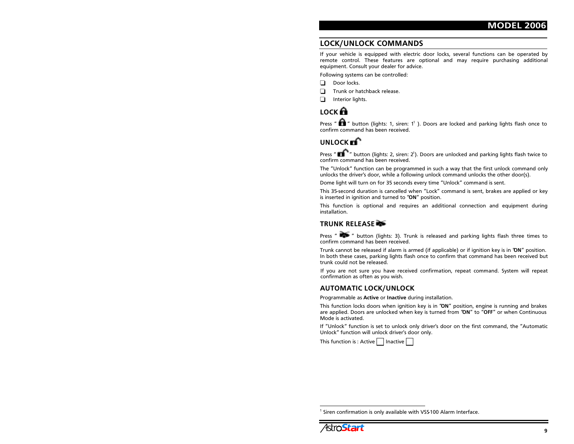## LOCK/UNLOCK COMMANDS

If your vehicle is equipped with electric door locks, several functions can be operated by remote control. These features are optional and may require purchasing additional equipment. Consult your dealer for advice.

Following systems can be controlled:

- $\Box$  Door locks.
- $\Box$  Trunk or hatchback release.
- $\Box$  Interior lights.

## LOCK **n**

Press "  $\blacksquare$  " button (lights: 1, siren: 1' ). Doors are locked and parking lights flash once to confirm command has been received.

## $UNLOCK$  $\mathbf{F}$

Press "  $\blacksquare$   $\ulcorner$  " button (lights: 2, siren: 2<sup>1</sup>). Doors are unlocked and parking lights flash twice to  $\epsilon$ onfirm command has been received.

The "Unlock" function can be programmed in such a way that the first unlock command only unlocks the driver's door, while a following unlock command unlocks the other door(s).

Dome light will turn on for 35 seconds every time "Unlock" command is sent.

This 35-second duration is cancelled when "Lock" command is sent, brakes are applied or key is inserted in ignition and turned to " $ON"$  position.

This function is optional and requires an additional connection and equipment during installation.

#### TRUNK RELEASE

Press"  $\blacksquare$  " button (lights: 3). Trunk is released and parking lights flash three times to  $\overline{\text{confirm}}$  command has been received.

Trunk cannot be released if alarm is armed (if applicable) or if ignition key is in 'ON" position. In both these cases, parking lights flash once to confirm that command has been received but trunk could not be released.

If you are not sure you have received confirmation, repeat command. System will repeat confirmation as often as you wish.

#### AUTOMATIC LOCK/UNLOCK

Programmable as Active or Inactive during installation.

This function locks doors when ignition key is in "ON" position, engine is running and brakes are applied. Doors are unlocked when key is turned from 'ON" to "OFF" or when Continuous Mode is activated.

If "Unlock" function is set to unlock only driver's door on the first command, the "Automatic Unlock" function will unlock driver's door only.

This function is : Active l  $\:$  I Inactive

Siren confirmation is only available with VSS-100 Alarm Interface.

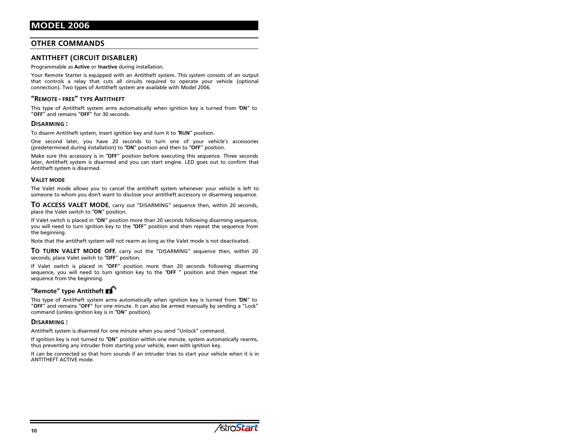#### **OTHER COMMANDS**

#### ANTITHEFT (CIRCUIT DISABLER)

Programmable as Active or Inactive during installation.

Your Remote Starter is equipped with an Antitheft system. This system consists of an output that controls a relay that cuts all circuits required to operate your vehicle (optional connection). Two types of Antitheft system are available with Model 2006.

#### "REMOTE - FREE" TYPE ANTITHEFT

This type of Antitheft system arms automatically when ignition key is turned from 'ON" to "OFF" and remains "OFF" for 30 seconds.

#### DISARMING:

To disarm Antitheft system, insert ignition key and turn it to "RUN" position.

One second later, you have 20 seconds to turn one of your vehicle's accessories (predetermined during installation) to "ON" position and then to "OFF" position.

Make sure this accessory is in "OFF" position before executing this sequence. Three seconds later, Antitheft system is disarmed and you can start engine. LED goes out to confirm that Antitheft system is disarmed.

#### **VALET MODE**

The Valet mode allows you to cancel the antitheft system whenever your vehicle is left to someone to whom you don't want to disclose your antitheft accessory or disarming sequence.

TO ACCESS VALET MODE, carry out "DISARMING" sequence then, within 20 seconds, place the Valet switch to "ON" position.

If Valet switch is placed in "ON" position more than 20 seconds following disarming sequence, you will need to turn ignition key to the "OFF" position and then repeat the sequence from the beainnina.

Note that the antitheft system will not rearm as long as the Valet mode is not deactivated.

TO TURN VALET MODE OFF, carry out the "DISARMING" sequence then, within 20 seconds, place Valet switch to "OFF" position.

If Valet switch is placed in "OFF" position more than 20 seconds following disarming sequence, you will need to turn ignition key to the "OFF" position and then repeat the sequence from the beginning.

#### "Remote" type Antitheft  $\blacksquare$

This type of Antitheft system arms automatically when ignition key is turned from 'ON" to "OFF" and remains "OFF" for one minute. It can also be armed manually by sending a "Lock" command (unless ignition key is in "ON" position).

#### DISARMING:

Antitheft system is disarmed for one minute when you send "Unlock" command.

If ignition key is not turned to "ON" position within one minute, system automatically rearms, thus preventing any intruder from starting your vehicle, even with ignition key.

It can be connected so that horn sounds if an intruder tries to start vour vehicle when it is in ANTITHEFT ACTIVE mode.

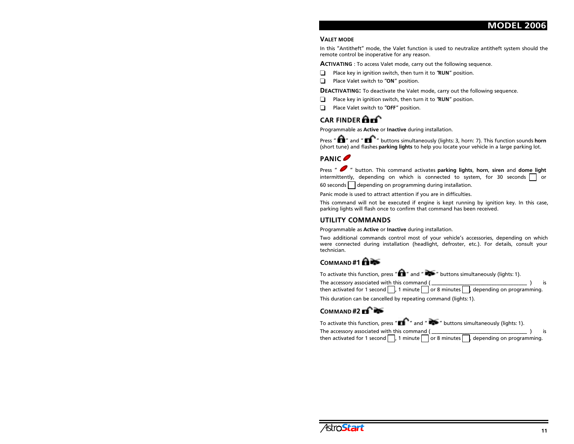#### **VALET MODE**

In this "Antitheft" mode, the Valet function is used to neutralize antitheft system should the remote control be inoperative for any reason.

**ACTIVATING**: To access Valet mode, carry out the following sequence.

- Place key in ignition switch, then turn it to " $RUN''$  position.
- $\Box$  Place Valet switch to "ON" position.

DEACTIVATING: To deactivate the Valet mode, carry out the following sequence.

- Place key in ignition switch, then turn it to "RUN" position.
- $\Box$  Place Valet switch to "OFF" position.

## CAR FINDER  $\mathbf{a}$

Programmable as Active or Inactive during installation.

Press "  $\blacksquare$  " and "  $\blacksquare$   $\blacksquare$  " buttons simultaneously (lights: 3, horn: 7). This function sounds <code>horn</code> (short tune) and flashes parking lights to help you locate your vehicle in a large parking lot.

## PANIC<sup>®</sup>

Press "  $\bullet$  " button. This command activates parking lights, horn, siren and dome light intermittently, depending on which is connected to system, for 30 seconds  $\Box$  or 60 seconds  $|\phantom{a}|$  depending on programming during installation.

Panic mode is used to attract attention if you are in difficulties.

This command will not be executed if engine is kept running by ignition key. In this case, parking lights will flash once to confirm that command has been received.

#### UTILITY COMMANDS

Programmable as Active or Inactive during installation.

Two additional commands control most of your vehicle's accessories, depending on which were connected during installation (headlight, defroster, etc.). For details, consult your technician.

#### $COMMAND#1$

To activate this function, press " $\blacksquare$ " and " $\blacksquare$ " buttons simultaneously (lights: 1).

The accessory associated with this command ( $\blacksquare$ then activated for 1 second  $|\phantom{a}|$  , 1 minute  $|\phantom{a}|$  or 8 minutes  $|\phantom{a}|$  , depending on programming.

This duration can be cancelled by repeating command (lights: 1).

#### $COMMAND$ #2 $\blacksquare$

| To activate this function, press " $\blacksquare$ " and " $\blacksquare$ " buttons simultaneously (lights: 1). |  |
|----------------------------------------------------------------------------------------------------------------|--|
| The accessory associated with this command (                                                                   |  |
| then activated for 1 second $\Box$ , 1 minute $\Box$ or 8 minutes $\Box$ , depending on programming.           |  |

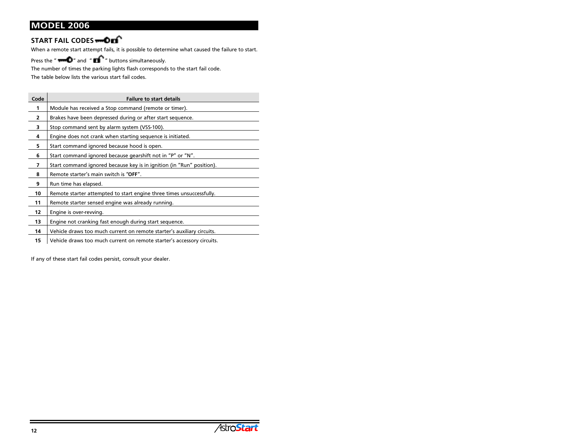### START FAIL CODES

When a remote start attempt fails, it is possible to determine what caused the failure to start.

Press the " $\blacksquare$  " and " $\blacksquare$  " buttons simultaneously.

The number of times the parking lights flash corresponds to the start fail code.

The table below lists the various start fail codes.

| Code | <b>Failure to start details</b>                                        |
|------|------------------------------------------------------------------------|
| 1    | Module has received a Stop command (remote or timer).                  |
| 2    | Brakes have been depressed during or after start sequence.             |
| 3    | Stop command sent by alarm system (VSS-100).                           |
| 4    | Engine does not crank when starting sequence is initiated.             |
| 5    | Start command ignored because hood is open.                            |
| 6    | Start command ignored because gearshift not in "P" or "N".             |
| 7    | Start command ignored because key is in ignition (in "Run" position).  |
| 8    | Remote starter's main switch is "OFF".                                 |
| 9    | Run time has elapsed.                                                  |
| 10   | Remote starter attempted to start engine three times unsuccessfully.   |
| 11   | Remote starter sensed engine was already running.                      |
| 12   | Engine is over-revving.                                                |
| 13   | Engine not cranking fast enough during start sequence.                 |
| 14   | Vehicle draws too much current on remote starter's auxiliary circuits. |
| 15   | Vehicle draws too much current on remote starter's accessory circuits. |

If any of these start fail codes persist, consult your dealer.

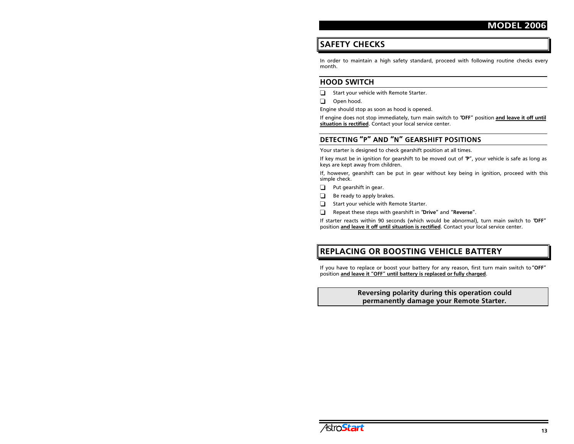## **SAFETY CHECKS**

In order to maintain a high safety standard, proceed with following routine checks every  $month$ .

#### **HOOD SWITCH**

- $\Box$  Start your vehicle with Remote Starter.
- $\Box$  Open hood.

Engine should stop as soon as hood is opened.

If engine does not stop immediately, turn main switch to "OFF" position and leave it off until situation is rectified. Contact your local service center.

## DETECTING "P" AND "N" GEARSHIFT POSITIONS

Your starter is designed to check gearshift position at all times.

If key must be in ignition for gearshift to be moved out of ' $P''$ , your vehicle is safe as long as keys are kept away from children.

If, however, gearshift can be put in gear without key being in ignition, proceed with this simple check.

 $\Box$  Put gearshift in gear.

- $\Box$  Be ready to apply brakes.
- $\Box$  Start your vehicle with Remote Starter.
- Repeat these steps with gearshift in "Drive" and "Reverse".

If starter reacts within 90 seconds (which would be abnormal), turn main switch to 'OFF" position and leave it off until situation is rectified. Contact your local service center.

## REPLACING OR BOOSTING VEHICLE BATTERY

If you have to replace or boost your battery for any reason, first turn main switch to "OFF" position and leave it "OFF" until battery is replaced or fully charged.

#### Reversing polarity during this operation could permanently damage your Remote Starter.